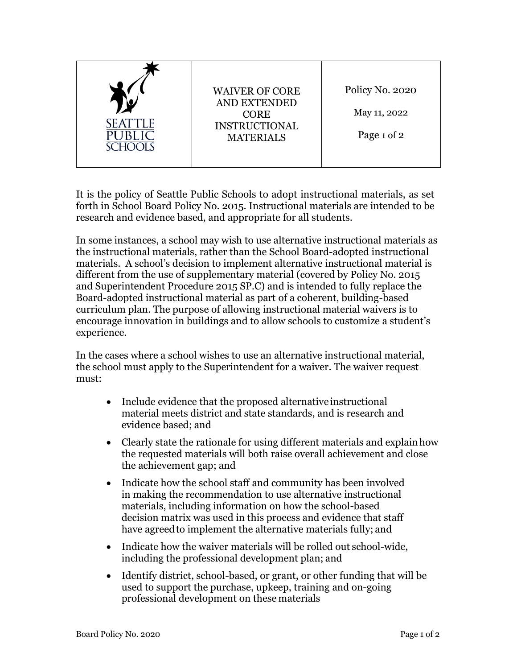| <b>SEATTLE</b><br>SCHOOLS | <b>WAIVER OF CORE</b><br><b>AND EXTENDED</b><br><b>CORE</b><br><b>INSTRUCTIONAL</b><br><b>MATERIALS</b> | Policy No. 2020<br>May 11, 2022<br>Page 1 of 2 |
|---------------------------|---------------------------------------------------------------------------------------------------------|------------------------------------------------|
|---------------------------|---------------------------------------------------------------------------------------------------------|------------------------------------------------|

It is the policy of Seattle Public Schools to adopt instructional materials, as set forth in School Board Policy No. 2015. Instructional materials are intended to be research and evidence based, and appropriate for all students.

In some instances, a school may wish to use alternative instructional materials as the instructional materials, rather than the School Board-adopted instructional materials. A school's decision to implement alternative instructional material is different from the use of supplementary material (covered by Policy No. 2015 and Superintendent Procedure 2015 SP.C) and is intended to fully replace the Board-adopted instructional material as part of a coherent, building-based curriculum plan. The purpose of allowing instructional material waivers is to encourage innovation in buildings and to allow schools to customize a student's experience.

In the cases where a school wishes to use an alternative instructional material, the school must apply to the Superintendent for a waiver. The waiver request must:

- Include evidence that the proposed alternative instructional material meets district and state standards, and is research and evidence based; and
- Clearly state the rationale for using different materials and explain how the requested materials will both raise overall achievement and close the achievement gap; and
- Indicate how the school staff and community has been involved in making the recommendation to use alternative instructional materials, including information on how the school-based decision matrix was used in this process and evidence that staff have agreedto implement the alternative materials fully; and
- Indicate how the waiver materials will be rolled out school-wide, including the professional development plan; and
- Identify district, school-based, or grant, or other funding that will be used to support the purchase, upkeep, training and on-going professional development on these materials